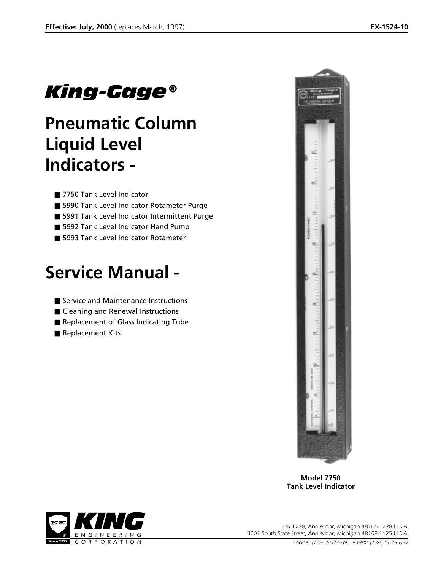# *King-Gage®*

# **Pneumatic Column Liquid Level Indicators -**

- 7750 Tank Level Indicator
- 5990 Tank Level Indicator Rotameter Purge
- 5991 Tank Level Indicator Intermittent Purge
- 5992 Tank Level Indicator Hand Pump
- 5993 Tank Level Indicator Rotameter

# **Service Manual -**

- Service and Maintenance Instructions
- Cleaning and Renewal Instructions
- Replacement of Glass Indicating Tube
- Replacement Kits



**Model 7750 Tank Level Indicator**



*KING Box 1228, Ann Arbor, Michigan 48106-1228 U.S.A. 3201 South State Street, Ann Arbor, Michigan 48108-1625 U.S.A.*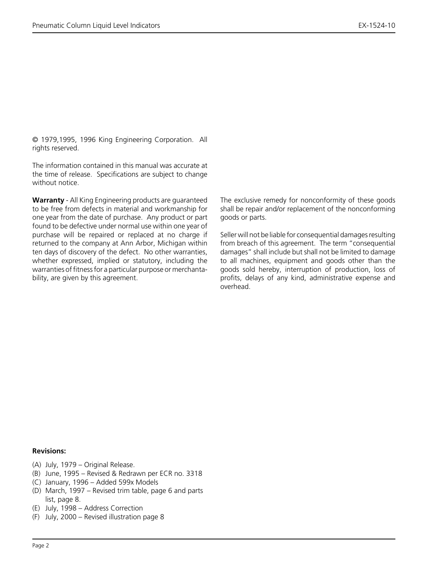© 1979,1995, 1996 King Engineering Corporation. All rights reserved.

The information contained in this manual was accurate at the time of release. Specifications are subject to change without notice.

**Warranty** - All King Engineering products are guaranteed to be free from defects in material and workmanship for one year from the date of purchase. Any product or part found to be defective under normal use within one year of purchase will be repaired or replaced at no charge if returned to the company at Ann Arbor, Michigan within ten days of discovery of the defect. No other warranties, whether expressed, implied or statutory, including the warranties of fitness for a particular purpose or merchantability, are given by this agreement.

The exclusive remedy for nonconformity of these goods shall be repair and/or replacement of the nonconforming goods or parts.

Seller will not be liable for consequential damages resulting from breach of this agreement. The term "consequential damages" shall include but shall not be limited to damage to all machines, equipment and goods other than the goods sold hereby, interruption of production, loss of profits, delays of any kind, administrative expense and overhead.

#### **Revisions:**

- (A) July, 1979 Original Release.
- (B) June, 1995 Revised & Redrawn per ECR no. 3318
- (C) January, 1996 Added 599x Models
- (D) March, 1997 Revised trim table, page 6 and parts list, page 8.
- (E) July, 1998 Address Correction
- (F) July, 2000 Revised illustration page 8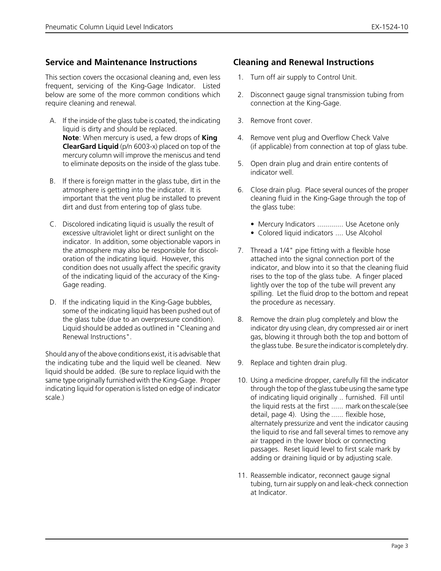## **Service and Maintenance Instructions**

This section covers the occasional cleaning and, even less frequent, servicing of the King-Gage Indicator. Listed below are some of the more common conditions which require cleaning and renewal.

- A. If the inside of the glass tube is coated, the indicating liquid is dirty and should be replaced. **Note**: When mercury is used, a few drops of **King ClearGard Liquid** (p/n 6003-x) placed on top of the mercury column will improve the meniscus and tend to eliminate deposits on the inside of the glass tube.
- B. If there is foreign matter in the glass tube, dirt in the atmosphere is getting into the indicator. It is important that the vent plug be installed to prevent dirt and dust from entering top of glass tube.
- C. Discolored indicating liquid is usually the result of excessive ultraviolet light or direct sunlight on the indicator. In addition, some objectionable vapors in the atmosphere may also be responsible for discoloration of the indicating liquid. However, this condition does not usually affect the specific gravity of the indicating liquid of the accuracy of the King-Gage reading.
- D. If the indicating liquid in the King-Gage bubbles, some of the indicating liquid has been pushed out of the glass tube (due to an overpressure condition). Liquid should be added as outlined in "Cleaning and Renewal Instructions".

Should any of the above conditions exist, it is advisable that the indicating tube and the liquid well be cleaned. New liquid should be added. (Be sure to replace liquid with the same type originally furnished with the King-Gage. Proper indicating liquid for operation is listed on edge of indicator scale.)

## **Cleaning and Renewal Instructions**

- 1. Turn off air supply to Control Unit.
- 2. Disconnect gauge signal transmission tubing from connection at the King-Gage.
- 3. Remove front cover.
- 4. Remove vent plug and Overflow Check Valve (if applicable) from connection at top of glass tube.
- 5. Open drain plug and drain entire contents of indicator well.
- 6. Close drain plug. Place several ounces of the proper cleaning fluid in the King-Gage through the top of the glass tube:
	- Mercury Indicators ............. Use Acetone only
	- Colored liquid indicators .... Use Alcohol
- 7. Thread a 1/4" pipe fitting with a flexible hose attached into the signal connection port of the indicator, and blow into it so that the cleaning fluid rises to the top of the glass tube. A finger placed lightly over the top of the tube will prevent any spilling. Let the fluid drop to the bottom and repeat the procedure as necessary.
- 8. Remove the drain plug completely and blow the indicator dry using clean, dry compressed air or inert gas, blowing it through both the top and bottom of the glass tube. Be sure the indicator is completely dry.
- 9. Replace and tighten drain plug.
- 10. Using a medicine dropper, carefully fill the indicator through the top of the glass tube using the same type of indicating liquid originally .. furnished. Fill until the liquid rests at the first ...... mark on the scale (see detail, page 4). Using the ...... flexible hose, alternately pressurize and vent the indicator causing the liquid to rise and fall several times to remove any air trapped in the lower block or connecting passages. Reset liquid level to first scale mark by adding or draining liquid or by adjusting scale.
- 11. Reassemble indicator, reconnect gauge signal tubing, turn air supply on and leak-check connection at Indicator.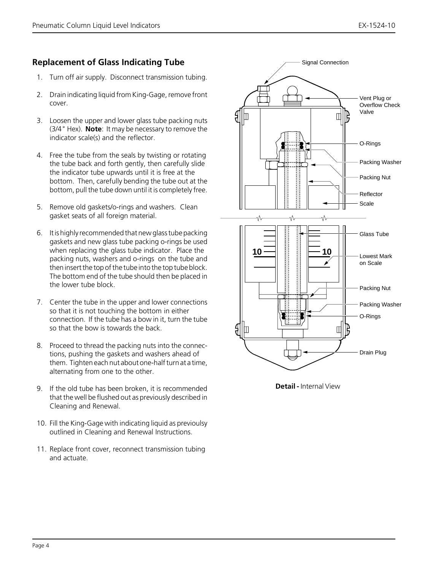# **Replacement of Glass Indicating Tube**

- 1. Turn off air supply. Disconnect transmission tubing.
- 2. Drain indicating liquid from King-Gage, remove front cover.
- 3. Loosen the upper and lower glass tube packing nuts (3/4" Hex). **Note**: It may be necessary to remove the indicator scale(s) and the reflector.
- 4. Free the tube from the seals by twisting or rotating the tube back and forth gently, then carefully slide the indicator tube upwards until it is free at the bottom. Then, carefully bending the tube out at the bottom, pull the tube down until it is completely free.
- 5. Remove old gaskets/o-rings and washers. Clean gasket seats of all foreign material.
- 6. It is highly recommended that new glass tube packing gaskets and new glass tube packing o-rings be used when replacing the glass tube indicator. Place the packing nuts, washers and o-rings on the tube and then insert the top of the tube into the top tube block. The bottom end of the tube should then be placed in the lower tube block.
- 7. Center the tube in the upper and lower connections so that it is not touching the bottom in either connection. If the tube has a bow in it, turn the tube so that the bow is towards the back.
- 8. Proceed to thread the packing nuts into the connections, pushing the gaskets and washers ahead of them. Tighten each nut about one-half turn at a time, alternating from one to the other.
- 9. If the old tube has been broken, it is recommended that the well be flushed out as previously described in Cleaning and Renewal.
- 10. Fill the King-Gage with indicating liquid as previoulsy outlined in Cleaning and Renewal Instructions.
- 11. Replace front cover, reconnect transmission tubing and actuate.



**Detail -** Internal View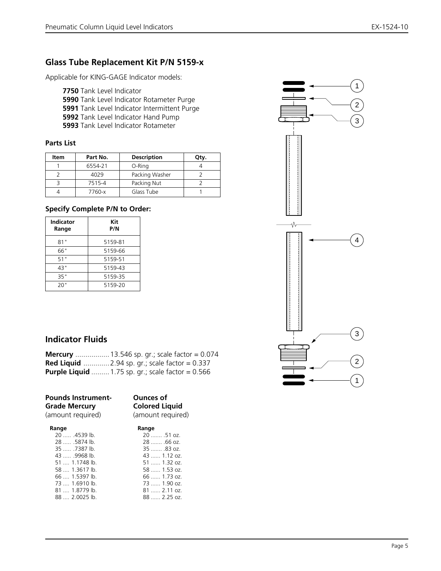# **Glass Tube Replacement Kit P/N 5159-x**

Applicable for KING-GAGE Indicator models:

- **7750** Tank Level Indicator
- **5990** Tank Level Indicator Rotameter Purge
- **5991** Tank Level Indicator Intermittent Purge
- **5992** Tank Level Indicator Hand Pump
- **5993** Tank Level Indicator Rotameter

#### **Parts List**

| Item | Part No. | <b>Description</b> | Qty. |
|------|----------|--------------------|------|
|      | 6554-21  | O-Ring             |      |
|      | 4029     | Packing Washer     |      |
|      | 7515-4   | Packing Nut        |      |
|      | 7760-x   | Glass Tube         |      |

#### **Specify Complete P/N to Order:**

| <b>Indicator</b><br>Range | Kit<br>P/N |
|---------------------------|------------|
| 81"                       | 5159-81    |
| 66"                       | 5159-66    |
| 51"                       | 5159-51    |
| 43"                       | 5159-43    |
| 35"                       | 5159-35    |
| 20"                       | 5159-20    |

# 1 2 3 ∿ 4 3 2 1

# **Indicator Fluids**

| <b>Mercury</b> 13.546 sp. gr.; scale factor = $0.074$     |
|-----------------------------------------------------------|
| <b>Red Liquid</b> 2.94 sp. gr.; scale factor = $0.337$    |
| <b>Purple Liquid</b> 1.75 sp. gr.; scale factor = $0.566$ |

| <b>Pounds Instrument-</b><br><b>Grade Mercury</b> | <b>Ounces of</b><br><b>Colored Liquid</b> |  |
|---------------------------------------------------|-------------------------------------------|--|
| (amount required)                                 | (amount required)                         |  |
| Range                                             | Range                                     |  |

| Range               |  |
|---------------------|--|
| 20  .51 oz.         |  |
| $28$ .66 oz.        |  |
| $35$ .83 oz.        |  |
| 43  1.12 oz.        |  |
| $51$ 1.32 oz.       |  |
| 58  1.53 oz.        |  |
| $66$ 1.73 oz.       |  |
| 73  1.90 oz.        |  |
| $81 \dots 2.11$ oz. |  |
| $88$ 2.25 oz.       |  |
|                     |  |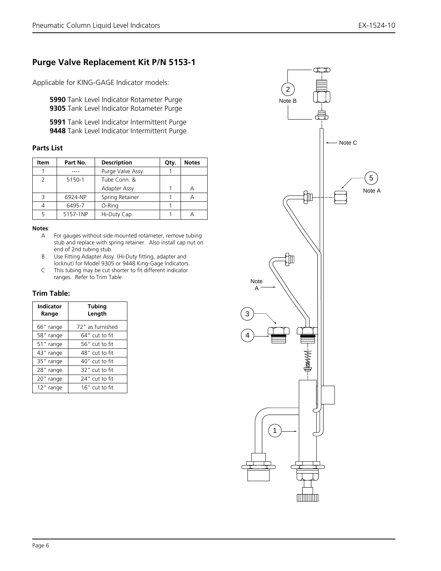# **Purge Valve Replacement Kit P/N 5153-1**

Applicable for KING-GAGE Indicator models:

**5990** Tank Level Indicator Rotameter Purge **9305** Tank Level Indicator Rotameter Purge

**5991** Tank Level Indicator Intermittent Purge **9448** Tank Level Indicator Intermittent Purge

#### **Parts List**

| Item          | Part No. | <b>Description</b> | Qty. | <b>Notes</b> |
|---------------|----------|--------------------|------|--------------|
|               |          | Purge Valve Assy.  |      |              |
| $\mathcal{P}$ | 5150-1   | Tube Conn. &       |      |              |
|               |          | Adapter Assy.      |      | Α            |
| ₹             | 6924-NP  | Spring Retainer    |      |              |
|               | 6495-7   | O-Ring             |      |              |
|               | 5157-1NP | Hi-Duty Cap.       |      |              |

#### **Notes**:

- A For gauges without side mounted rotameter, remove tubing stub and replace with spring retainer. Also install cap nut on end of 2nd tubing stub.
- B Use Fitting Adapter Assy. (Hi-Duty fitting, adapter and locknut) for Model 9305 or 9448 King-Gage Indicators. C This tubing may be cut shorter to fit different indicator
- ranges. Refer to Trim Table.

#### **Trim Table:**

| <b>Indicator</b><br>Range | <b>Tubing</b><br>Length |
|---------------------------|-------------------------|
| 66" range                 | 72" as furnished        |
| 58" range                 | 64" cut to fit          |
| 51" range                 | 56" cut to fit          |
| 43" range                 | 48" cut to fit          |
| 35" range                 | 40" cut to fit          |
| 28" range                 | 32" cut to fit          |
| 20" range                 | 24" cut to fit          |
| 12" range                 | $16"$ cut to fit        |

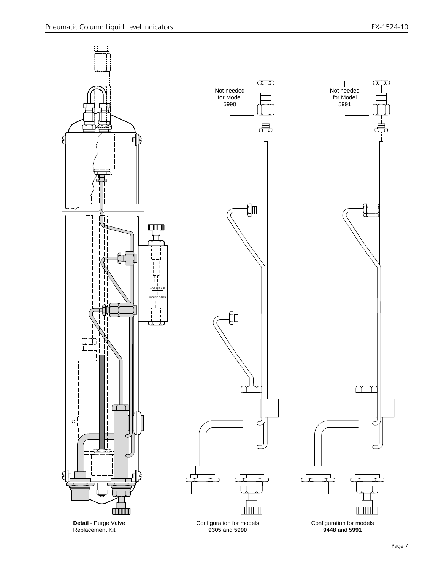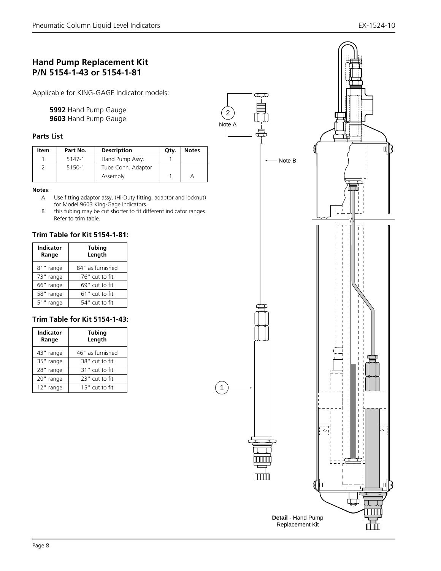# **Hand Pump Replacement Kit P/N 5154-1-43 or 5154-1-81**

Applicable for KING-GAGE Indicator models:

**5992** Hand Pump Gauge **9603** Hand Pump Gauge

#### **Parts List**

| Item | Part No. | <b>Description</b> | Qtv. | <b>Notes</b> |
|------|----------|--------------------|------|--------------|
|      | 5147-1   | Hand Pump Assy.    |      |              |
|      | 5150-1   | Tube Conn. Adaptor |      |              |
|      |          | Assembly           |      |              |

#### **Notes**:

- A Use fitting adaptor assy. (Hi-Duty fitting, adaptor and locknut) for Model 9603 King-Gage Indicators.
- B this tubing may be cut shorter to fit different indicator ranges. Refer to trim table.

#### **Trim Table for Kit 5154-1-81:**

| <b>Indicator</b><br>Range | <b>Tubing</b><br>Length |
|---------------------------|-------------------------|
| 81" range                 | 84" as furnished        |
| 73" range                 | 76" cut to fit          |
| 66" range                 | 69" cut to fit          |
| 58" range                 | $61"$ cut to fit        |
| 51" range                 | 54" cut to fit          |

#### **Trim Table for Kit 5154-1-43:**

| <b>Indicator</b><br>Range | <b>Tubing</b><br>Length |  |
|---------------------------|-------------------------|--|
| 43" range                 | 46" as furnished        |  |
| 35" range                 | 38" cut to fit          |  |
| 28" range                 | 31" cut to fit          |  |
| 20" range                 | 23" cut to fit          |  |
| 12" range                 | 15" cut to fit          |  |

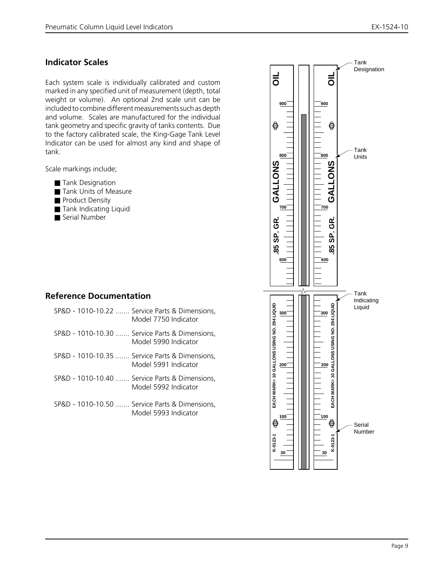## **Indicator Scales**

Each system scale is individually calibrated and custom marked in any specified unit of measurement (depth, total weight or volume). An optional 2nd scale unit can be included to combine different measurements such as depth and volume. Scales are manufactured for the individual tank geometry and specific gravity of tanks contents. Due to the factory calibrated scale, the King-Gage Tank Level Indicator can be used for almost any kind and shape of tank.

Scale markings include;

- Tank Designation
- Tank Units of Measure
- Product Density
- Tank Indicating Liquid
- Serial Number

## **Reference Documentation**

| SP&D - 1010-10.22  Service Parts & Dimensions,<br>Model 7750 Indicator |
|------------------------------------------------------------------------|
| SP&D - 1010-10.30  Service Parts & Dimensions,<br>Model 5990 Indicator |
| SP&D - 1010-10.35  Service Parts & Dimensions,<br>Model 5991 Indicator |
| SP&D - 1010-10.40  Service Parts & Dimensions,<br>Model 5992 Indicator |
| SP&D - 1010-10.50  Service Parts & Dimensions,<br>Model 5993 Indicator |